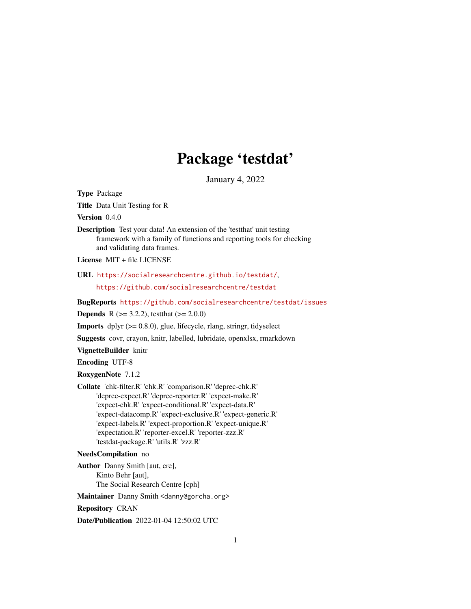# Package 'testdat'

January 4, 2022

<span id="page-0-0"></span>Type Package

Title Data Unit Testing for R

Version 0.4.0

Description Test your data! An extension of the 'testthat' unit testing framework with a family of functions and reporting tools for checking and validating data frames.

License MIT + file LICENSE

## URL <https://socialresearchcentre.github.io/testdat/>,

<https://github.com/socialresearchcentre/testdat>

BugReports <https://github.com/socialresearchcentre/testdat/issues>

**Depends** R ( $>= 3.2.2$ ), test that ( $>= 2.0.0$ )

**Imports** dplyr  $(>= 0.8.0)$ , glue, lifecycle, rlang, stringr, tidyselect

Suggests covr, crayon, knitr, labelled, lubridate, openxlsx, rmarkdown

VignetteBuilder knitr

Encoding UTF-8

RoxygenNote 7.1.2

Collate 'chk-filter.R' 'chk.R' 'comparison.R' 'deprec-chk.R' 'deprec-expect.R' 'deprec-reporter.R' 'expect-make.R' 'expect-chk.R' 'expect-conditional.R' 'expect-data.R' 'expect-datacomp.R' 'expect-exclusive.R' 'expect-generic.R' 'expect-labels.R' 'expect-proportion.R' 'expect-unique.R' 'expectation.R' 'reporter-excel.R' 'reporter-zzz.R' 'testdat-package.R' 'utils.R' 'zzz.R'

#### NeedsCompilation no

Author Danny Smith [aut, cre], Kinto Behr [aut], The Social Research Centre [cph]

Maintainer Danny Smith <danny@gorcha.org>

Repository CRAN

Date/Publication 2022-01-04 12:50:02 UTC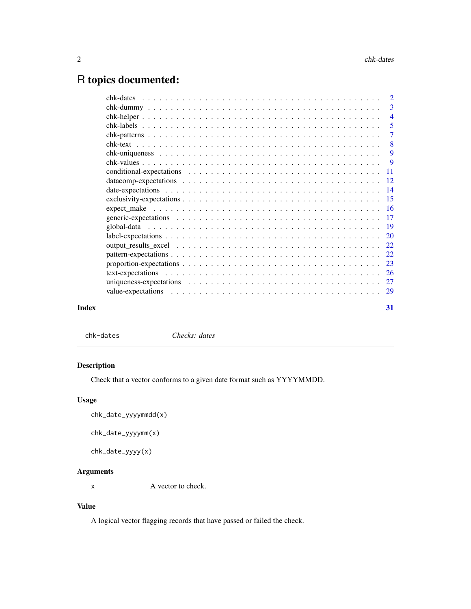# <span id="page-1-0"></span>R topics documented:

| Index | 31 |
|-------|----|

<span id="page-1-1"></span>chk-dates *Checks: dates*

## Description

Check that a vector conforms to a given date format such as YYYYMMDD.

## Usage

```
chk_date_yyyymmdd(x)
```

```
chk_date_yyyymm(x)
```
chk\_date\_yyyy(x)

## Arguments

x A vector to check.

## Value

A logical vector flagging records that have passed or failed the check.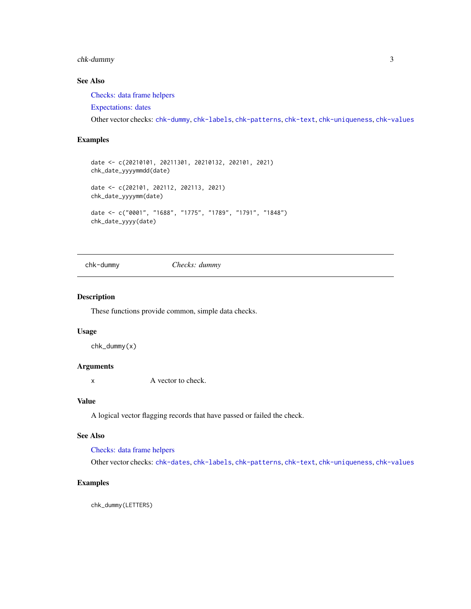## <span id="page-2-0"></span>chk-dummy 3

## See Also

[Checks: data frame helpers](#page-3-1)

[Expectations: dates](#page-13-1)

Other vector checks: [chk-dummy](#page-2-1), [chk-labels](#page-4-1), [chk-patterns](#page-6-1), [chk-text](#page-7-1), [chk-uniqueness](#page-8-1), [chk-values](#page-8-2)

## Examples

```
date <- c(20210101, 20211301, 20210132, 202101, 2021)
chk_date_yyyymmdd(date)
date <- c(202101, 202112, 202113, 2021)
chk_date_yyyymm(date)
date <- c("0001", "1688", "1775", "1789", "1791", "1848")
chk_date_yyyy(date)
```
<span id="page-2-1"></span>chk-dummy *Checks: dummy*

#### Description

These functions provide common, simple data checks.

#### Usage

chk\_dummy(x)

#### Arguments

x A vector to check.

## Value

A logical vector flagging records that have passed or failed the check.

#### See Also

[Checks: data frame helpers](#page-3-1)

Other vector checks: [chk-dates](#page-1-1), [chk-labels](#page-4-1), [chk-patterns](#page-6-1), [chk-text](#page-7-1), [chk-uniqueness](#page-8-1), [chk-values](#page-8-2)

## Examples

chk\_dummy(LETTERS)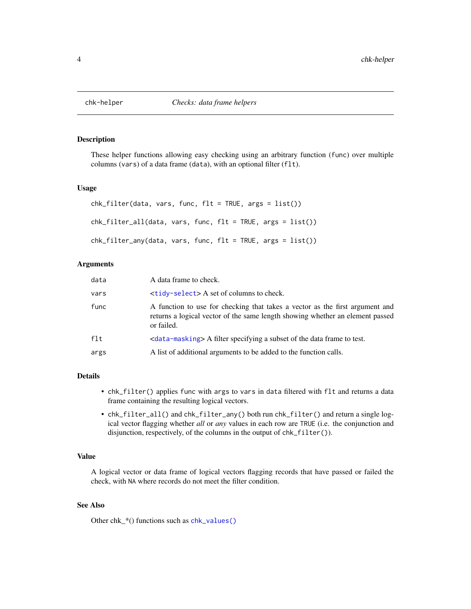<span id="page-3-1"></span><span id="page-3-0"></span>

## Description

These helper functions allowing easy checking using an arbitrary function (func) over multiple columns (vars) of a data frame (data), with an optional filter (flt).

#### Usage

```
chk_filter(data, vars, func, flt = TRUE, args = list())
chk_filter_all(data, vars, func, flt = TRUE, args = list())
chk_filter_any(data, vars, func, flt = TRUE, args = list())
```
#### Arguments

| data   | A data frame to check.                                                                                                                                                      |
|--------|-----------------------------------------------------------------------------------------------------------------------------------------------------------------------------|
| vars   | <tidy-select> A set of columns to check.</tidy-select>                                                                                                                      |
| func   | A function to use for checking that takes a vector as the first argument and<br>returns a logical vector of the same length showing whether an element passed<br>or failed. |
| $f$ lt | <data-masking> A filter specifying a subset of the data frame to test.</data-masking>                                                                                       |
| args   | A list of additional arguments to be added to the function calls.                                                                                                           |

## Details

- chk\_filter() applies func with args to vars in data filtered with flt and returns a data frame containing the resulting logical vectors.
- chk\_filter\_all() and chk\_filter\_any() both run chk\_filter() and return a single logical vector flagging whether *all* or *any* values in each row are TRUE (i.e. the conjunction and disjunction, respectively, of the columns in the output of chk\_filter()).

#### Value

A logical vector or data frame of logical vectors flagging records that have passed or failed the check, with NA where records do not meet the filter condition.

### See Also

Other chk\_\*() functions such as [chk\\_values\(\)](#page-8-2)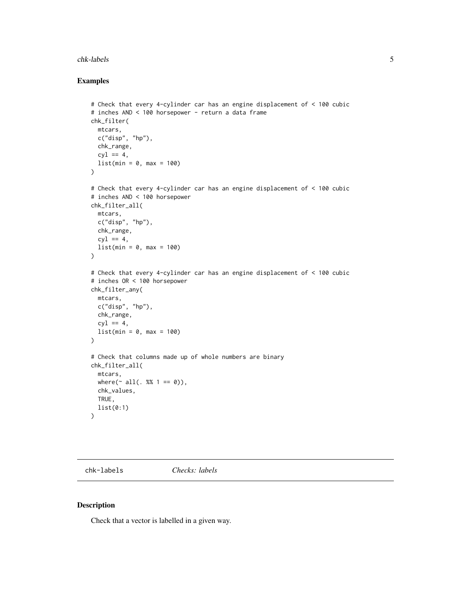#### <span id="page-4-0"></span>chk-labels 5

## Examples

```
# Check that every 4-cylinder car has an engine displacement of < 100 cubic
# inches AND < 100 horsepower - return a data frame
chk_filter(
  mtcars,
  c("disp", "hp"),
  chk_range,
  cyl == 4,list(min = 0, max = 100))
# Check that every 4-cylinder car has an engine displacement of < 100 cubic
# inches AND < 100 horsepower
chk_filter_all(
 mtcars,
 c("disp", "hp"),
  chk_range,
  cyl == 4,
  list(min = 0, max = 100))
# Check that every 4-cylinder car has an engine displacement of < 100 cubic
# inches OR < 100 horsepower
chk_filter_any(
 mtcars,
 c("disp", "hp"),
 chk_range,
  cyl == 4.
  list(min = 0, max = 100)\mathcal{L}# Check that columns made up of whole numbers are binary
chk_filter_all(
 mtcars,
  where(\sim all(. %% 1 == 0)),
  chk_values,
  TRUE,
  list(0:1)
\lambda
```
<span id="page-4-1"></span>chk-labels *Checks: labels*

#### Description

Check that a vector is labelled in a given way.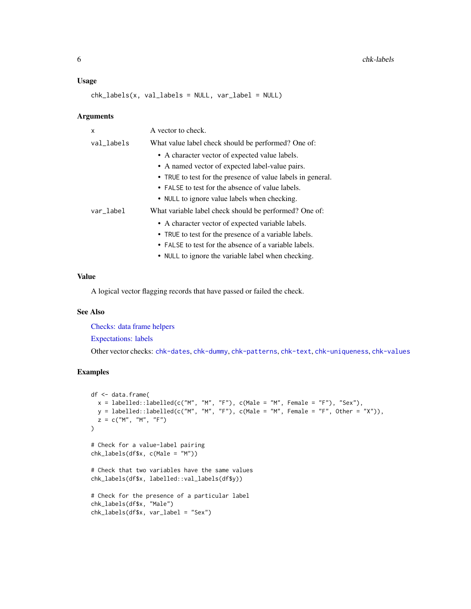#### <span id="page-5-0"></span>Usage

 $chk\_labels(x, val\_labels = NULL, var\_label = NULL)$ 

#### Arguments

| x          | A vector to check.                                                                                              |
|------------|-----------------------------------------------------------------------------------------------------------------|
| val_labels | What value label check should be performed? One of:                                                             |
|            | • A character vector of expected value labels.<br>• A named vector of expected label-value pairs.               |
|            | • TRUE to test for the presence of value labels in general.<br>• FALSE to test for the absence of value labels. |
|            | • NULL to ignore value labels when checking.                                                                    |
| var_label  | What variable label check should be performed? One of:                                                          |
|            | • A character vector of expected variable labels.                                                               |
|            | • TRUE to test for the presence of a variable labels.<br>• FALSE to test for the absence of a variable labels.  |
|            | • NULL to ignore the variable label when checking.                                                              |

#### Value

A logical vector flagging records that have passed or failed the check.

#### See Also

[Checks: data frame helpers](#page-3-1)

[Expectations: labels](#page-19-1)

Other vector checks: [chk-dates](#page-1-1), [chk-dummy](#page-2-1), [chk-patterns](#page-6-1), [chk-text](#page-7-1), [chk-uniqueness](#page-8-1), [chk-values](#page-8-2)

```
df <- data.frame(
  x = \text{labelled:1} (c("M", "M", "F"), c(Male = "M", Female = "F"), "Sex"),y = labelled::labelled(c("M", "M", "F"), c(Male = "M", Female = "F", Other = "X")),
 z = c("M", "M", "F"))
# Check for a value-label pairing
chk_labels(df$x, c(Male = "M"))
# Check that two variables have the same values
chk_labels(df$x, labelled::val_labels(df$y))
# Check for the presence of a particular label
chk_labels(df$x, "Male")
chk_labels(df$x, var_label = "Sex")
```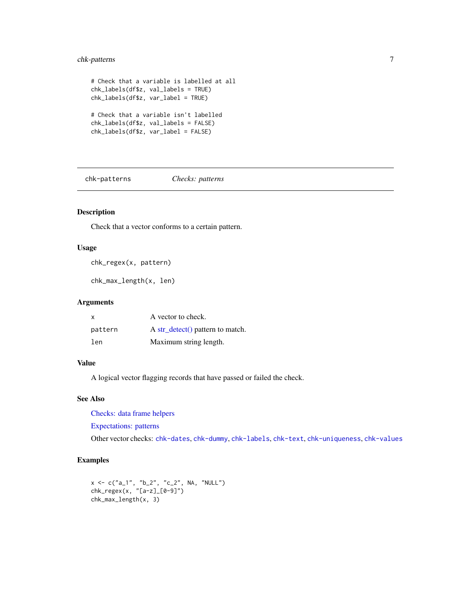## <span id="page-6-0"></span>chk-patterns 7

```
# Check that a variable is labelled at all
chk_labels(df$z, val_labels = TRUE)
chk_labels(df$z, var_label = TRUE)
# Check that a variable isn't labelled
chk_labels(df$z, val_labels = FALSE)
chk_labels(df$z, var_label = FALSE)
```
<span id="page-6-1"></span>chk-patterns *Checks: patterns*

## Description

Check that a vector conforms to a certain pattern.

#### Usage

chk\_regex(x, pattern)

chk\_max\_length(x, len)

## Arguments

| X       | A vector to check.                        |
|---------|-------------------------------------------|
| pattern | A str $\text{detect}()$ pattern to match. |
| len     | Maximum string length.                    |

## Value

A logical vector flagging records that have passed or failed the check.

#### See Also

[Checks: data frame helpers](#page-3-1)

[Expectations: patterns](#page-21-1)

Other vector checks: [chk-dates](#page-1-1), [chk-dummy](#page-2-1), [chk-labels](#page-4-1), [chk-text](#page-7-1), [chk-uniqueness](#page-8-1), [chk-values](#page-8-2)

```
x <- c("a_1", "b_2", "c_2", NA, "NULL")
chk_regex(x, "[a-z]_[0-9]")
chk_max_length(x, 3)
```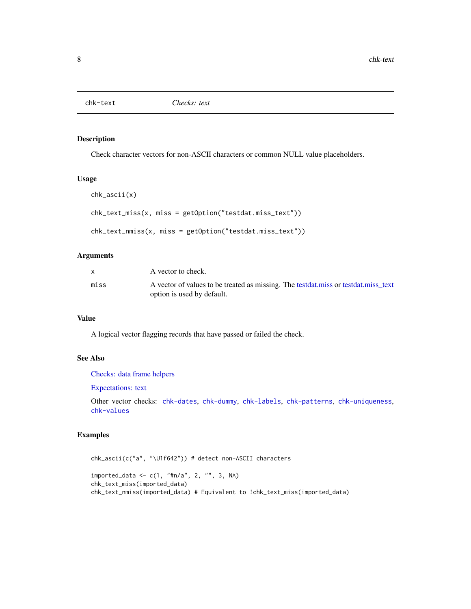<span id="page-7-1"></span><span id="page-7-0"></span>

## Description

Check character vectors for non-ASCII characters or common NULL value placeholders.

#### Usage

```
chk_ascii(x)
chk_text_miss(x, miss = getOption("testdat.miss_text"))
chk_text_nmiss(x, miss = getOption("testdat.miss_text"))
```
#### Arguments

|      | A vector to check.                                                                                               |
|------|------------------------------------------------------------------------------------------------------------------|
| miss | A vector of values to be treated as missing. The testdat miss or testdat miss text<br>option is used by default. |

## Value

A logical vector flagging records that have passed or failed the check.

## See Also

[Checks: data frame helpers](#page-3-1)

[Expectations: text](#page-25-1)

Other vector checks: [chk-dates](#page-1-1), [chk-dummy](#page-2-1), [chk-labels](#page-4-1), [chk-patterns](#page-6-1), [chk-uniqueness](#page-8-1), [chk-values](#page-8-2)

```
chk_ascii(c("a", "\U1f642")) # detect non-ASCII characters
imported_data <- c(1, "#n/a", 2, "", 3, NA)
chk_text_miss(imported_data)
chk_text_nmiss(imported_data) # Equivalent to !chk_text_miss(imported_data)
```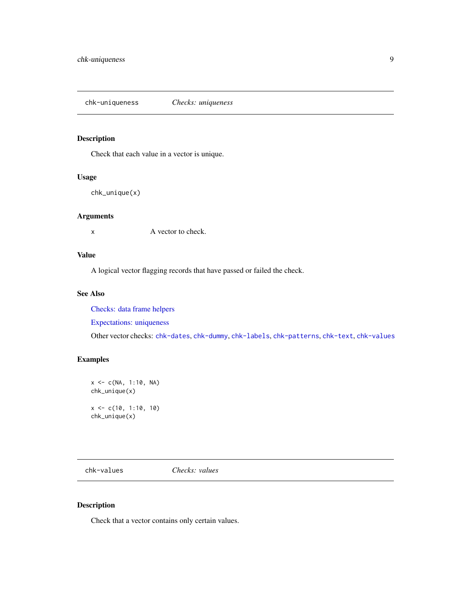<span id="page-8-1"></span><span id="page-8-0"></span>chk-uniqueness *Checks: uniqueness*

## Description

Check that each value in a vector is unique.

## Usage

```
chk_unique(x)
```
## Arguments

x A vector to check.

## Value

A logical vector flagging records that have passed or failed the check.

#### See Also

[Checks: data frame helpers](#page-3-1)

[Expectations: uniqueness](#page-26-1)

Other vector checks: [chk-dates](#page-1-1), [chk-dummy](#page-2-1), [chk-labels](#page-4-1), [chk-patterns](#page-6-1), [chk-text](#page-7-1), [chk-values](#page-8-2)

## Examples

```
x < -c(NA, 1:10, NA)chk_unique(x)
x \leq -c(10, 1:10, 10)chk_unique(x)
```
<span id="page-8-2"></span>chk-values *Checks: values*

## Description

Check that a vector contains only certain values.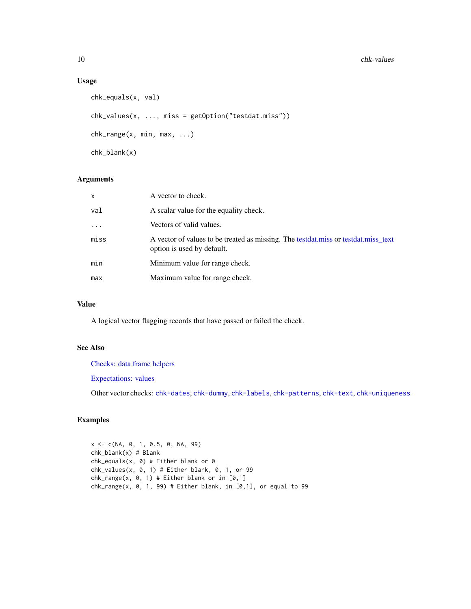## Usage

```
chk_equals(x, val)
chk_values(x, ..., miss = getOption("testdat.miss"))
chk_range(x, min, max, ...)
chk_blank(x)
```
## Arguments

| x        | A vector to check.                                                                                               |
|----------|------------------------------------------------------------------------------------------------------------------|
| val      | A scalar value for the equality check.                                                                           |
| $\cdots$ | Vectors of valid values.                                                                                         |
| miss     | A vector of values to be treated as missing. The testdat.miss or testdat.miss_text<br>option is used by default. |
| min      | Minimum value for range check.                                                                                   |
| max      | Maximum value for range check.                                                                                   |

## Value

A logical vector flagging records that have passed or failed the check.

#### See Also

[Checks: data frame helpers](#page-3-1)

[Expectations: values](#page-28-1)

Other vector checks: [chk-dates](#page-1-1), [chk-dummy](#page-2-1), [chk-labels](#page-4-1), [chk-patterns](#page-6-1), [chk-text](#page-7-1), [chk-uniqueness](#page-8-1)

## Examples

x <- c(NA, 0, 1, 0.5, 0, NA, 99) chk\_blank(x) # Blank  $chk_equals(x, 0)$  # Either blank or 0  $chk_values(x, 0, 1) # Either blank, 0, 1, or 99$  $chk_range(x, 0, 1)$  # Either blank or in  $[0,1]$  $chk_range(x, 0, 1, 99)$  # Either blank, in  $[0,1]$ , or equal to 99

<span id="page-9-0"></span>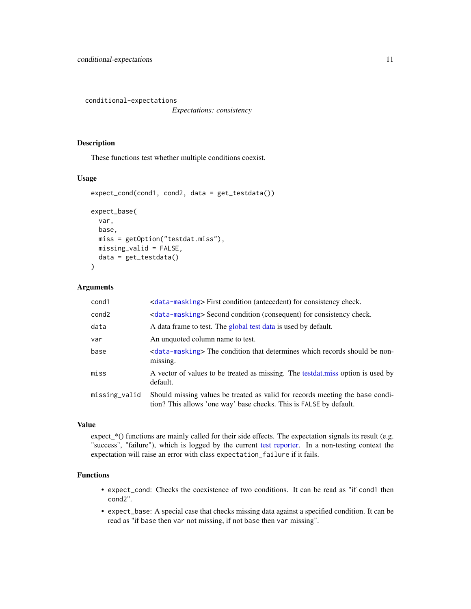<span id="page-10-1"></span><span id="page-10-0"></span>conditional-expectations

*Expectations: consistency*

## Description

These functions test whether multiple conditions coexist.

#### Usage

```
expect_cond(cond1, cond2, data = get_testdata())
expect_base(
  var,
 base,
 miss = getOption("testdat.miss"),
 missing_valid = FALSE,
  data = get_testdata()
\mathcal{L}
```
## Arguments

| cond1         | <data-masking> First condition (antecedent) for consistency check.</data-masking>                                                                   |
|---------------|-----------------------------------------------------------------------------------------------------------------------------------------------------|
| cond2         | <data-masking> Second condition (consequent) for consistency check.</data-masking>                                                                  |
| data          | A data frame to test. The global test data is used by default.                                                                                      |
| var           | An unquoted column name to test.                                                                                                                    |
| base          | <data-masking> The condition that determines which records should be non-<br/>missing.</data-masking>                                               |
| miss          | A vector of values to be treated as missing. The testdat miss option is used by<br>default.                                                         |
| missing_valid | Should missing values be treated as valid for records meeting the base condi-<br>tion? This allows 'one way' base checks. This is FALSE by default. |

## Value

expect\_\*() functions are mainly called for their side effects. The expectation signals its result (e.g. "success", "failure"), which is logged by the current [test reporter.](#page-0-0) In a non-testing context the expectation will raise an error with class expectation\_failure if it fails.

## Functions

- expect\_cond: Checks the coexistence of two conditions. It can be read as "if cond1 then cond2".
- expect\_base: A special case that checks missing data against a specified condition. It can be read as "if base then var not missing, if not base then var missing".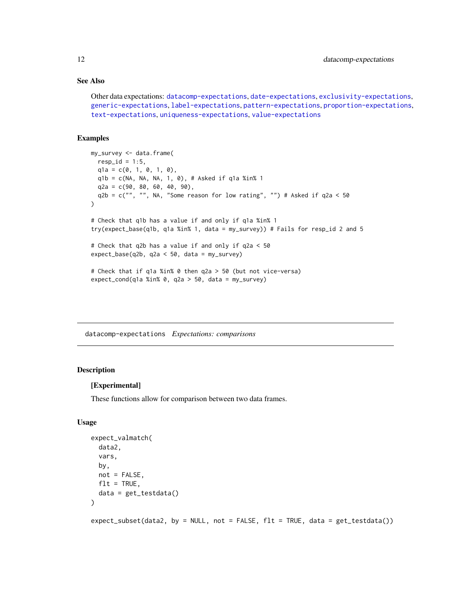## <span id="page-11-0"></span>See Also

```
Other data expectations: datacomp-expectations, date-expectations, exclusivity-expectations,
generic-expectations, label-expectations, pattern-expectations, proportion-expectations,
text-expectations, uniqueness-expectations, value-expectations
```
#### Examples

```
my_survey <- data.frame(
  resp_id = 1:5,q1a = c(0, 1, 0, 1, 0),
  q1b = c(NA, NA, NA, 1, 0), # Asked if q1a %in% 1
  q2a = c(90, 80, 60, 40, 90),
  q2b = c("", "", \text{ NA}, "Some reason for low rating", "") # Asked if <math>q2a &lt; 50</math>)
# Check that q1b has a value if and only if q1a %in% 1
try(expect_base(q1b, q1a %in% 1, data = my_survey)) # Fails for resp_id 2 and 5
# Check that q2b has a value if and only if q2a < 50
expect_base(q2b, q2a < 50, data = my_survey)
# Check that if q1a %in% 0 then q2a > 50 (but not vice-versa)
expect_{cond(q1a %in% 0, q2a > 50, data = my_survey)
```
<span id="page-11-1"></span>datacomp-expectations *Expectations: comparisons*

## Description

#### [Experimental]

These functions allow for comparison between two data frames.

## Usage

```
expect_valmatch(
  data2,
  vars,
 by,
 not = FALSE,
 flt = TRUE,data = get_testdata()
\lambda
```
expect\_subset(data2, by = NULL, not = FALSE, flt = TRUE, data = get\_testdata())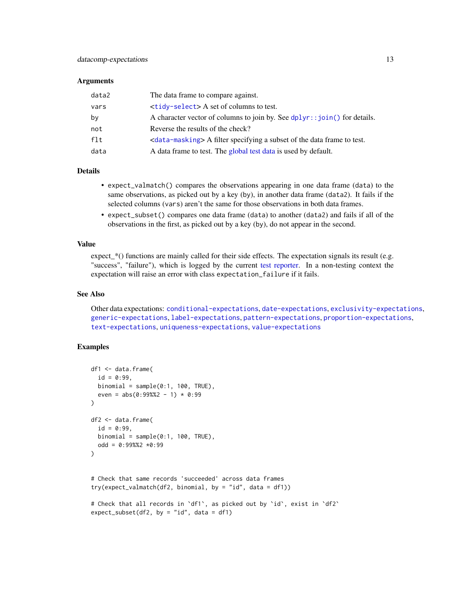#### <span id="page-12-0"></span>**Arguments**

| data2 | The data frame to compare against.                                                    |
|-------|---------------------------------------------------------------------------------------|
| vars  | $\langle \text{tidy-select} \rangle$ A set of columns to test.                        |
| by    | A character vector of columns to join by. See $dplyr$ : $\text{join}()$ for details.  |
| not   | Reverse the results of the check?                                                     |
| flt   | <data-masking> A filter specifying a subset of the data frame to test.</data-masking> |
| data  | A data frame to test. The global test data is used by default.                        |

## **Details**

- expect\_valmatch() compares the observations appearing in one data frame (data) to the same observations, as picked out by a key (by), in another data frame (data2). It fails if the selected columns (vars) aren't the same for those observations in both data frames.
- expect\_subset() compares one data frame (data) to another (data2) and fails if all of the observations in the first, as picked out by a key (by), do not appear in the second.

#### Value

expect\_\*() functions are mainly called for their side effects. The expectation signals its result (e.g. "success", "failure"), which is logged by the current [test reporter.](#page-0-0) In a non-testing context the expectation will raise an error with class expectation\_failure if it fails.

#### See Also

Other data expectations: [conditional-expectations](#page-10-1), [date-expectations](#page-13-1), [exclusivity-expectations](#page-14-1), [generic-expectations](#page-16-1), [label-expectations](#page-19-1), [pattern-expectations](#page-21-1), [proportion-expectations](#page-22-1), [text-expectations](#page-25-1), [uniqueness-expectations](#page-26-1), [value-expectations](#page-28-1)

```
df1 <- data.frame(
 id = 0:99,binomial = sample(0:1, 100, TRUE),
 even = abs(0:99%2 - 1) * 0:99)
df2 <- data.frame(
 id = 0:99,binomial = sample(0:1, 100, TRUE),
 odd = 0:99%2 * 0:99\mathcal{L}# Check that same records 'succeeded' across data frames
try(expect_valueAndf2, binomial, by = "id", data = df1))# Check that all records in `df1`, as picked out by `id`, exist in `df2`
expect_subset(df2, by = "id", data = df1)
```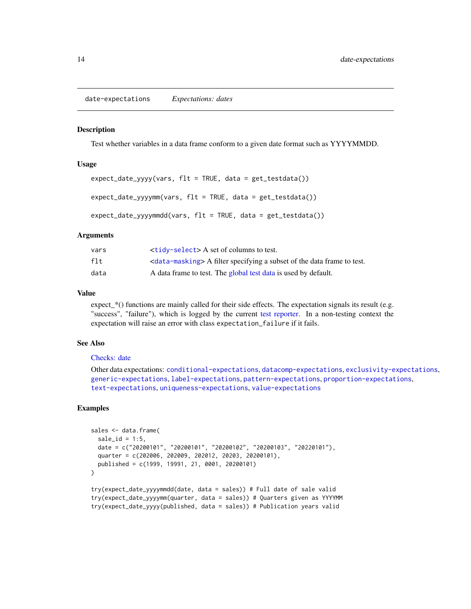<span id="page-13-1"></span><span id="page-13-0"></span>date-expectations *Expectations: dates*

#### **Description**

Test whether variables in a data frame conform to a given date format such as YYYYMMDD.

#### Usage

```
expect\_date\_yyy(yars, flat = TRUE, data = get\_testdata())expect_date_yyyymm(vars, flt = TRUE, data = get_testdata())
expect_date_yyyymmdd(vars, flt = TRUE, data = get_testdata())
```
#### Arguments

| vars | <tidy-select> A set of columns to test.</tidy-select>                                 |
|------|---------------------------------------------------------------------------------------|
| flt  | <data-masking> A filter specifying a subset of the data frame to test.</data-masking> |
| data | A data frame to test. The global test data is used by default.                        |

#### Value

expect\_\*() functions are mainly called for their side effects. The expectation signals its result (e.g. "success", "failure"), which is logged by the current [test reporter.](#page-0-0) In a non-testing context the expectation will raise an error with class expectation\_failure if it fails.

## See Also

#### [Checks: date](#page-1-1)

Other data expectations: [conditional-expectations](#page-10-1), [datacomp-expectations](#page-11-1), [exclusivity-expectations](#page-14-1), [generic-expectations](#page-16-1), [label-expectations](#page-19-1), [pattern-expectations](#page-21-1), [proportion-expectations](#page-22-1), [text-expectations](#page-25-1), [uniqueness-expectations](#page-26-1), [value-expectations](#page-28-1)

```
sales <- data.frame(
 sale_id = 1:5,
 date = c("20200101", "20200101", "20200102", "20200103", "20220101"),
 quarter = c(202006, 202009, 202012, 20203, 20200101),
 published = c(1999, 19991, 21, 0001, 20200101)
)
try(expect_date_yyyymmdd(date, data = sales)) # Full date of sale valid
try(expect_date_yyyymm(quarter, data = sales)) # Quarters given as YYYYMM
try(expect_date_yyyy(published, data = sales)) # Publication years valid
```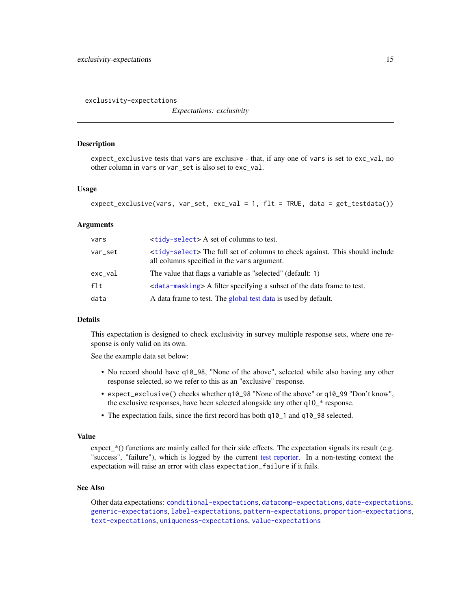<span id="page-14-1"></span><span id="page-14-0"></span>exclusivity-expectations

*Expectations: exclusivity*

#### Description

expect\_exclusive tests that vars are exclusive - that, if any one of vars is set to exc\_val, no other column in vars or var\_set is also set to exc\_val.

#### Usage

```
expect_exclusive(vars, var_set, exc_val = 1, flt = TRUE, data = get_testdata())
```
#### Arguments

| vars    | $\langle \text{tidy-select} \rangle$ A set of columns to test.                                                            |
|---------|---------------------------------------------------------------------------------------------------------------------------|
| var_set | stidy-select The full set of columns to check against. This should include<br>all columns specified in the vars argument. |
| exc_val | The value that flags a variable as "selected" (default: 1)                                                                |
| flt     | <data-masking> A filter specifying a subset of the data frame to test.</data-masking>                                     |
| data    | A data frame to test. The global test data is used by default.                                                            |

## Details

This expectation is designed to check exclusivity in survey multiple response sets, where one response is only valid on its own.

See the example data set below:

- No record should have q10\_98, "None of the above", selected while also having any other response selected, so we refer to this as an "exclusive" response.
- expect\_exclusive() checks whether q10\_98 "None of the above" or q10\_99 "Don't know", the exclusive responses, have been selected alongside any other q10\_\* response.
- The expectation fails, since the first record has both q10\_1 and q10\_98 selected.

#### Value

expect\_\*() functions are mainly called for their side effects. The expectation signals its result (e.g. "success", "failure"), which is logged by the current [test reporter.](#page-0-0) In a non-testing context the expectation will raise an error with class expectation\_failure if it fails.

## See Also

Other data expectations: [conditional-expectations](#page-10-1), [datacomp-expectations](#page-11-1), [date-expectations](#page-13-1), [generic-expectations](#page-16-1), [label-expectations](#page-19-1), [pattern-expectations](#page-21-1), [proportion-expectations](#page-22-1), [text-expectations](#page-25-1), [uniqueness-expectations](#page-26-1), [value-expectations](#page-28-1)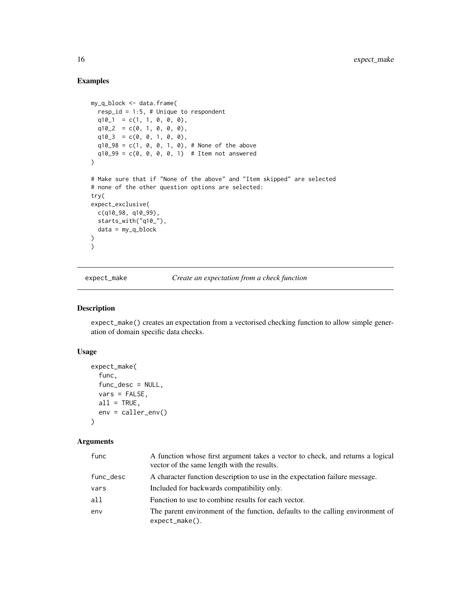## Examples

```
my_q_block <- data.frame(
  resp_id = 1:5, # Unique to respondent
  q10_1 = c(1, 1, 0, 0, 0),
  q10_2 = c(0, 1, 0, 0, 0),q10_3 = c(0, 0, 1, 0, 0),q10_98 = c(1, 0, 0, 1, 0), # None of the above
  q10_99 = c(0, 0, 0, 0, 1) # Item not answered
\mathcal{L}# Make sure that if "None of the above" and "Item skipped" are selected
# none of the other question options are selected:
try(
expect_exclusive(
 c(q10_98, q10_99),
  starts_with("q10_"),
  data = my_q_{block}\mathcal{L})
```
expect\_make *Create an expectation from a check function*

## Description

expect\_make() creates an expectation from a vectorised checking function to allow simple generation of domain specific data checks.

#### Usage

```
expect_make(
  func,
  func_desc = NULL,
  vars = FALSE,all = TRUE,env = caller_env()
)
```
#### Arguments

| func      | A function whose first argument takes a vector to check, and returns a logical<br>vector of the same length with the results. |
|-----------|-------------------------------------------------------------------------------------------------------------------------------|
| func_desc | A character function description to use in the expectation failure message.                                                   |
| vars      | Included for backwards compatibility only.                                                                                    |
| all       | Function to use to combine results for each vector.                                                                           |
| env       | The parent environment of the function, defaults to the calling environment of<br>$expect\_make()$ .                          |

<span id="page-15-0"></span>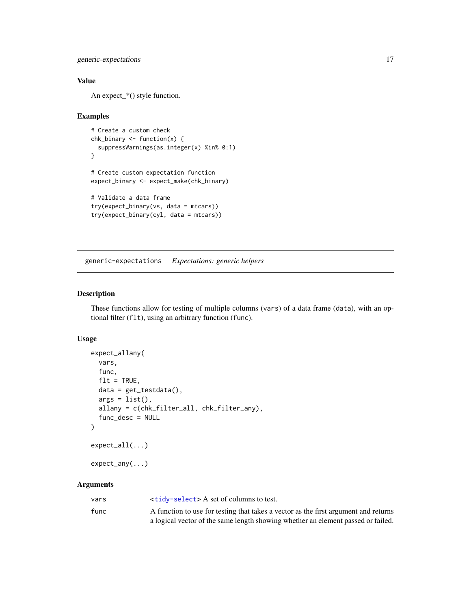<span id="page-16-0"></span>generic-expectations 17

## Value

An expect\_\*() style function.

## Examples

```
# Create a custom check
chk_binary <- function(x) {
  suppressWarnings(as.integer(x) %in% 0:1)
}
# Create custom expectation function
expect_binary <- expect_make(chk_binary)
# Validate a data frame
try(expect_binary(vs, data = mtcars))
try(expect_binary(cyl, data = mtcars))
```
<span id="page-16-1"></span>generic-expectations *Expectations: generic helpers*

#### Description

These functions allow for testing of multiple columns (vars) of a data frame (data), with an optional filter (flt), using an arbitrary function (func).

#### Usage

```
expect_allany(
  vars,
  func,
  flt = TRUE,data = get_testdata(),args = list(),
  allany = c(chk_filter_all, chk_filter_any),
  func_desc = NULL
\mathcal{E}expect_all(...)
expect_any(...)
```
#### Arguments

| vars | <tidy-select> A set of columns to test.</tidy-select>                               |
|------|-------------------------------------------------------------------------------------|
| func | A function to use for testing that takes a vector as the first argument and returns |
|      | a logical vector of the same length showing whether an element passed or failed.    |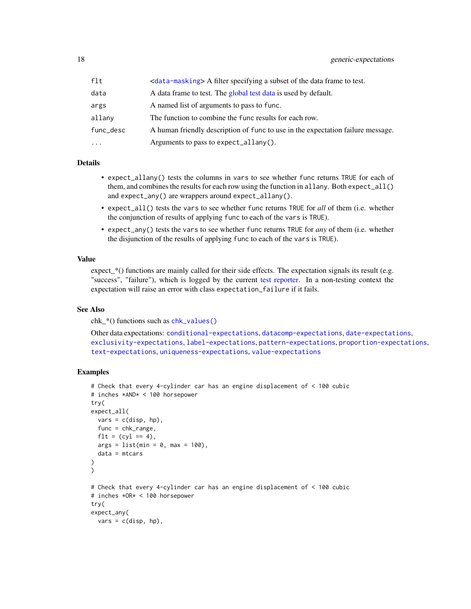<span id="page-17-0"></span>

| flt       | <data-masking> A filter specifying a subset of the data frame to test.</data-masking> |
|-----------|---------------------------------------------------------------------------------------|
| data      | A data frame to test. The global test data is used by default.                        |
| args      | A named list of arguments to pass to func.                                            |
| allany    | The function to combine the func results for each row.                                |
| func_desc | A human friendly description of func to use in the expectation failure message.       |
| $\cdots$  | Arguments to pass to expect_allany().                                                 |

#### Details

- expect\_allany() tests the columns in vars to see whether func returns TRUE for each of them, and combines the results for each row using the function in allany. Both expect\_all() and expect\_any() are wrappers around expect\_allany().
- expect\_all() tests the vars to see whether func returns TRUE for *all* of them (i.e. whether the conjunction of results of applying func to each of the vars is TRUE).
- expect\_any() tests the vars to see whether func returns TRUE for *any* of them (i.e. whether the disjunction of the results of applying func to each of the vars is TRUE).

#### Value

expect\_\*() functions are mainly called for their side effects. The expectation signals its result (e.g. "success", "failure"), which is logged by the current [test reporter.](#page-0-0) In a non-testing context the expectation will raise an error with class expectation\_failure if it fails.

#### See Also

chk\_\*() functions such as [chk\\_values\(\)](#page-8-2)

Other data expectations: [conditional-expectations](#page-10-1), [datacomp-expectations](#page-11-1), [date-expectations](#page-13-1), [exclusivity-expectations](#page-14-1), [label-expectations](#page-19-1), [pattern-expectations](#page-21-1), [proportion-expectations](#page-22-1), [text-expectations](#page-25-1), [uniqueness-expectations](#page-26-1), [value-expectations](#page-28-1)

```
# Check that every 4-cylinder car has an engine displacement of < 100 cubic
# inches *AND* < 100 horsepower
try(
expect_all(
 vars = c(disp, hp),
 func = chk_range,
 f1t = (cyl == 4),
 args = list(min = 0, max = 100),
 data = mtcars
)
)
# Check that every 4-cylinder car has an engine displacement of < 100 cubic
# inches *OR* < 100 horsepower
try(
expect_any(
 vars = c(disp, hp),
```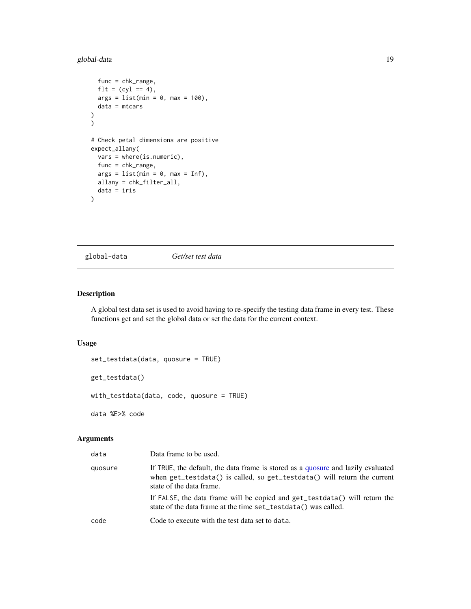## <span id="page-18-0"></span>global-data 19

```
func = chk_range,
  f1t = (cyl == 4),
  args = list(min = 0, max = 100),
  data = mtcars
)
)
# Check petal dimensions are positive
expect_allany(
  vars = where(is.numeric),
  func = chk_range,
  args = list(min = 0, max = Inf),allany = chk_filter_all,
  data = iris
\mathcal{L}
```
<span id="page-18-1"></span>global-data *Get/set test data*

## Description

A global test data set is used to avoid having to re-specify the testing data frame in every test. These functions get and set the global data or set the data for the current context.

## Usage

```
set_testdata(data, quosure = TRUE)
get_testdata()
with_testdata(data, code, quosure = TRUE)
data %E>% code
```
## Arguments

| data    | Data frame to be used.                                                                                                                                                                   |
|---------|------------------------------------------------------------------------------------------------------------------------------------------------------------------------------------------|
| quosure | If TRUE, the default, the data frame is stored as a quosure and lazily evaluated<br>when get_testdata() is called, so get_testdata() will return the current<br>state of the data frame. |
|         | If FALSE, the data frame will be copied and get_testdata() will return the<br>state of the data frame at the time set_testdata() was called.                                             |
| code    | Code to execute with the test data set to data.                                                                                                                                          |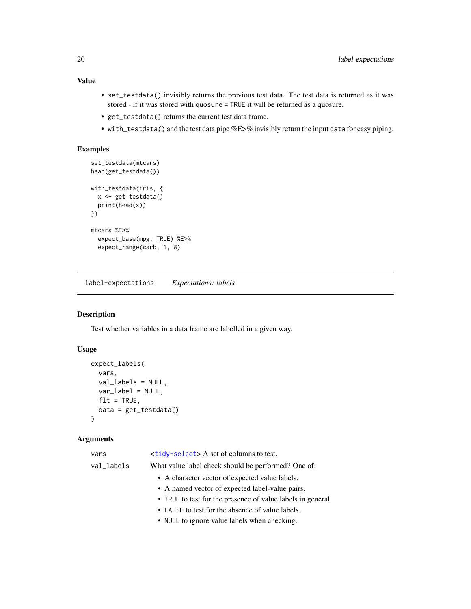## <span id="page-19-0"></span>Value

- set\_testdata() invisibly returns the previous test data. The test data is returned as it was stored - if it was stored with quosure = TRUE it will be returned as a quosure.
- get\_testdata() returns the current test data frame.
- with\_testdata() and the test data pipe %E>% invisibly return the input data for easy piping.

## Examples

```
set_testdata(mtcars)
head(get_testdata())
with_testdata(iris, {
  x <- get_testdata()
  print(head(x))
})
mtcars %E>%
  expect_base(mpg, TRUE) %E>%
  expect_range(carb, 1, 8)
```
<span id="page-19-1"></span>label-expectations *Expectations: labels*

## Description

Test whether variables in a data frame are labelled in a given way.

#### Usage

```
expect_labels(
  vars,
  val_labels = NULL,
 var_label = NULL,
 flt = TRUE,data = get_testdata()
)
```
## Arguments

| vars       | <tidy-select> A set of columns to test.</tidy-select>       |
|------------|-------------------------------------------------------------|
| val_labels | What value label check should be performed? One of:         |
|            | • A character vector of expected value labels.              |
|            | • A named vector of expected label-value pairs.             |
|            | • TRUE to test for the presence of value labels in general. |
|            | • FALSE to test for the absence of value labels.            |
|            | • NULL to ignore value labels when checking.                |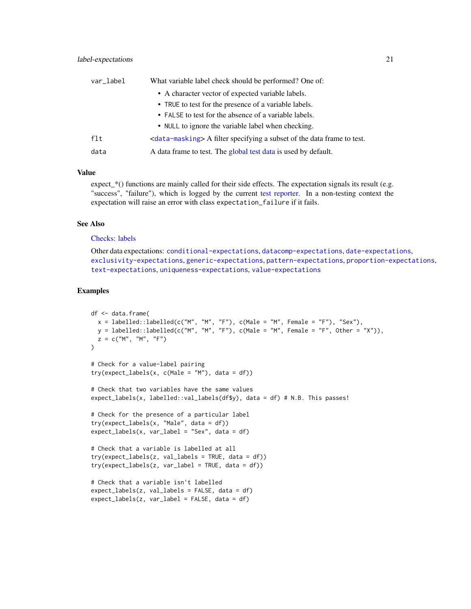<span id="page-20-0"></span>

| var_label | What variable label check should be performed? One of:                                |
|-----------|---------------------------------------------------------------------------------------|
|           | • A character vector of expected variable labels.                                     |
|           | • TRUE to test for the presence of a variable labels.                                 |
|           | • FALSE to test for the absence of a variable labels.                                 |
|           | • NULL to ignore the variable label when checking.                                    |
| flt       | <data-masking> A filter specifying a subset of the data frame to test.</data-masking> |
| data      | A data frame to test. The global test data is used by default.                        |

## Value

expect\_\*() functions are mainly called for their side effects. The expectation signals its result (e.g. "success", "failure"), which is logged by the current [test reporter.](#page-0-0) In a non-testing context the expectation will raise an error with class expectation\_failure if it fails.

## See Also

## [Checks: labels](#page-4-1)

Other data expectations: [conditional-expectations](#page-10-1), [datacomp-expectations](#page-11-1), [date-expectations](#page-13-1), [exclusivity-expectations](#page-14-1), [generic-expectations](#page-16-1), [pattern-expectations](#page-21-1), [proportion-expectations](#page-22-1), [text-expectations](#page-25-1), [uniqueness-expectations](#page-26-1), [value-expectations](#page-28-1)

```
df <- data.frame(
 x = labelled::labelled(c("M", "M", "F"), c(Male = "M", Female = "F"), "Sex"),
 y = labelled::labelled(c("M", "M", "F"), c(Male = "M", Female = "F", Other = "X")),
 z = c("M", "M", "F"))
# Check for a value-label pairing
try(expect_labels(x, c(Male = "M"), data = df))
# Check that two variables have the same values
expect_labels(x, labelled::val_labels(df$y), data = df) # N.B. This passes!
# Check for the presence of a particular label
try(expect_labels(x, "Male", data = df))
expect_labels(x, var_label = "Sex", data = df)
# Check that a variable is labelled at all
try(expect_labels(z, val_labels = TRUE, data = df))
try(expect_labels(z, var_label = TRUE, data = df))
# Check that a variable isn't labelled
expect_labels(z, val_labels = FALSE, data = df)
expect_labels(z, var_label = FALSE, data = df)
```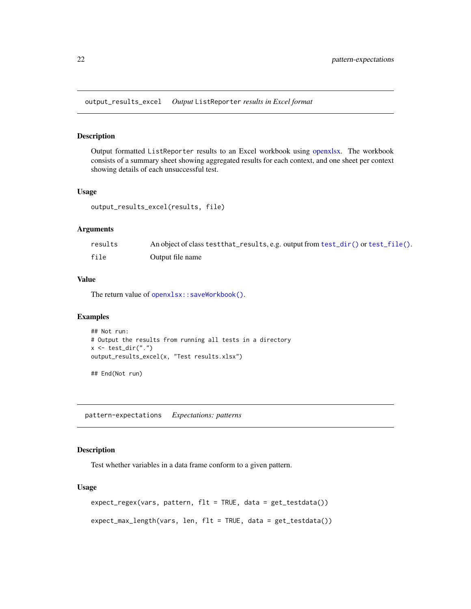<span id="page-21-0"></span>output\_results\_excel *Output* ListReporter *results in Excel format*

## Description

Output formatted ListReporter results to an Excel workbook using [openxlsx.](#page-0-0) The workbook consists of a summary sheet showing aggregated results for each context, and one sheet per context showing details of each unsuccessful test.

#### Usage

output\_results\_excel(results, file)

#### Arguments

| results | An object of class test that results, e.g. output from test_dir() or test_file(). |
|---------|-----------------------------------------------------------------------------------|
| file    | Output file name                                                                  |

## Value

The return value of [openxlsx::saveWorkbook\(\)](#page-0-0).

## Examples

```
## Not run:
# Output the results from running all tests in a directory
x \leftarrow \text{test\_dir}(".")
output_results_excel(x, "Test results.xlsx")
```
## End(Not run)

<span id="page-21-1"></span>pattern-expectations *Expectations: patterns*

#### Description

Test whether variables in a data frame conform to a given pattern.

#### Usage

```
expect_regex(vars, pattern, flt = TRUE, data = get_testdata())
expect_max_length(vars, len, flt = TRUE, data = get_testdata())
```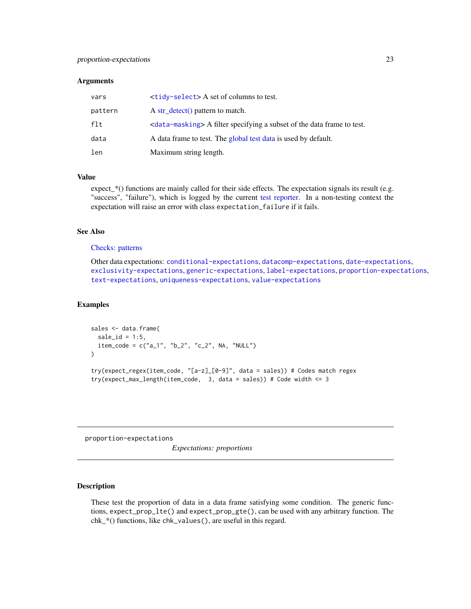#### <span id="page-22-0"></span>**Arguments**

| vars    | $\langle \text{tidy-select} \rangle$ A set of columns to test.                        |
|---------|---------------------------------------------------------------------------------------|
| pattern | A str detect() pattern to match.                                                      |
| flt     | <data-masking> A filter specifying a subset of the data frame to test.</data-masking> |
| data    | A data frame to test. The global test data is used by default.                        |
| len     | Maximum string length.                                                                |

## Value

expect\_\*() functions are mainly called for their side effects. The expectation signals its result (e.g. "success", "failure"), which is logged by the current [test reporter.](#page-0-0) In a non-testing context the expectation will raise an error with class expectation\_failure if it fails.

#### See Also

#### [Checks: patterns](#page-6-1)

Other data expectations: [conditional-expectations](#page-10-1), [datacomp-expectations](#page-11-1), [date-expectations](#page-13-1), [exclusivity-expectations](#page-14-1), [generic-expectations](#page-16-1), [label-expectations](#page-19-1), [proportion-expectations](#page-22-1), [text-expectations](#page-25-1), [uniqueness-expectations](#page-26-1), [value-expectations](#page-28-1)

## Examples

```
sales <- data.frame(
 \text{ sale_id} = 1:5,
 item_code = c("a_1", "b_2", "c_2", NA, "NULL")
\mathcal{L}try(expect_regex(item_code, "[a-z]_[0-9]", data = sales)) # Codes match regex
try(expect_max_length(item_code, 3, data = sales)) # Code width < = 3
```
<span id="page-22-1"></span>proportion-expectations

*Expectations: proportions*

## Description

These test the proportion of data in a data frame satisfying some condition. The generic functions, expect\_prop\_lte() and expect\_prop\_gte(), can be used with any arbitrary function. The chk\_\*() functions, like chk\_values(), are useful in this regard.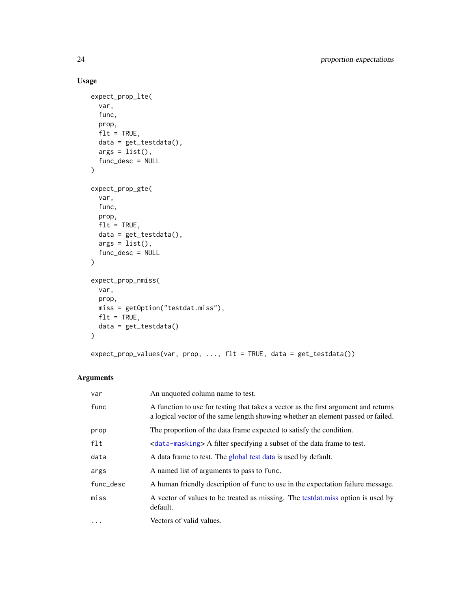## Usage

```
expect_prop_lte(
  var,
 func,
 prop,
 flt = TRUE,data = get_testdata(),
 args = list(),func_desc = NULL
\lambdaexpect_prop_gte(
 var,
 func,
 prop,
 flt = TRUE,data = get_testdata(),
 args = list(),func_desc = NULL
\mathcal{L}expect_prop_nmiss(
 var,
 prop,
 miss = getOption("testdat.miss"),
 f1t = TRUE,data = get_testdata()
\mathcal{L}expect_prop_values(var, prop, ..., flt = TRUE, data = get_testdata())
```
## Arguments

| var       | An unquoted column name to test.                                                                                                                                        |
|-----------|-------------------------------------------------------------------------------------------------------------------------------------------------------------------------|
| func      | A function to use for testing that takes a vector as the first argument and returns<br>a logical vector of the same length showing whether an element passed or failed. |
| prop      | The proportion of the data frame expected to satisfy the condition.                                                                                                     |
| $f$ lt    | <data-masking> A filter specifying a subset of the data frame to test.</data-masking>                                                                                   |
| data      | A data frame to test. The global test data is used by default.                                                                                                          |
| args      | A named list of arguments to pass to func.                                                                                                                              |
| func_desc | A human friendly description of func to use in the expectation failure message.                                                                                         |
| miss      | A vector of values to be treated as missing. The test dat miss option is used by<br>default.                                                                            |
| $\cdots$  | Vectors of valid values.                                                                                                                                                |

<span id="page-23-0"></span>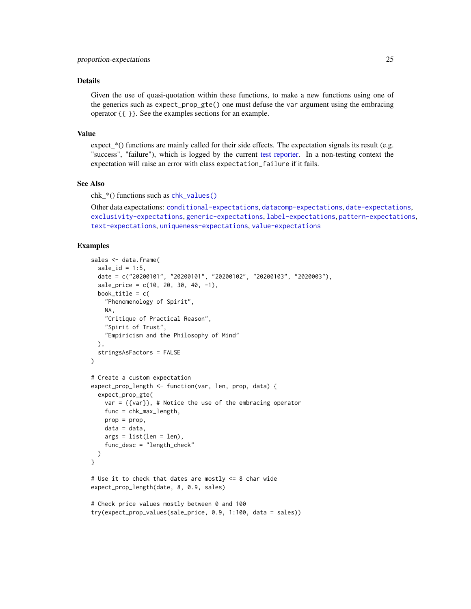## <span id="page-24-0"></span>Details

Given the use of quasi-quotation within these functions, to make a new functions using one of the generics such as expect\_prop\_gte() one must defuse the var argument using the embracing operator {{ }}. See the examples sections for an example.

#### Value

expect\_\*() functions are mainly called for their side effects. The expectation signals its result (e.g. "success", "failure"), which is logged by the current [test reporter.](#page-0-0) In a non-testing context the expectation will raise an error with class expectation\_failure if it fails.

#### See Also

chk\_\*() functions such as [chk\\_values\(\)](#page-8-2)

Other data expectations: [conditional-expectations](#page-10-1), [datacomp-expectations](#page-11-1), [date-expectations](#page-13-1), [exclusivity-expectations](#page-14-1), [generic-expectations](#page-16-1), [label-expectations](#page-19-1), [pattern-expectations](#page-21-1), [text-expectations](#page-25-1), [uniqueness-expectations](#page-26-1), [value-expectations](#page-28-1)

```
sales <- data.frame(
  \text{ sale_id} = 1:5,
  date = c("20200101", "20200101", "20200102", "20200103", "2020003"),
  \text{ sale\_price} = c(10, 20, 30, 40, -1),book_title = c("Phenomenology of Spirit",
    NA,
    "Critique of Practical Reason",
    "Spirit of Trust",
    "Empiricism and the Philosophy of Mind"
  ),
  stringsAsFactors = FALSE
)
# Create a custom expectation
expect_prop_length <- function(var, len, prop, data) {
  expect_prop_gte(
    var = ({var}, # Notice the use of the embracing operator
    func = chk_max_length,
   prop = prop,
   data = data,
   args = list(len = len),func_desc = "length_check"
  )
}
# Use it to check that dates are mostly <= 8 char wide
expect_prop_length(date, 8, 0.9, sales)
# Check price values mostly between 0 and 100
try(expect_prop_values(sale_price, 0.9, 1:100, data = sales))
```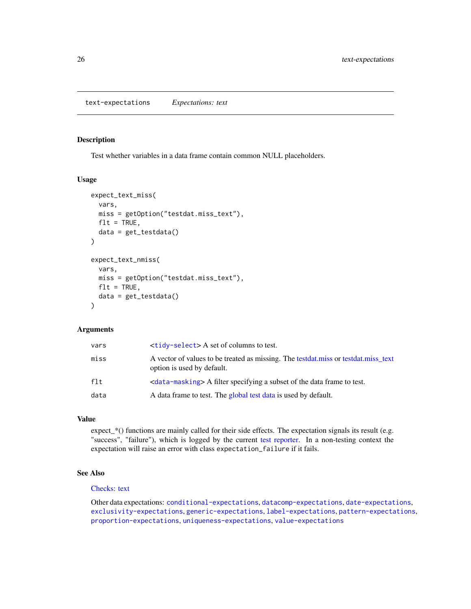## <span id="page-25-1"></span><span id="page-25-0"></span>Description

Test whether variables in a data frame contain common NULL placeholders.

#### Usage

```
expect_text_miss(
  vars,
 miss = getOption("testdat.miss_text"),
  flt = TRUE,data = get_testdata()
)
expect_text_nmiss(
  vars,
 miss = getOption("testdat.miss_text"),
 flt = TRUE,data = get_testdata()
)
```
## Arguments

| vars   | $\langle \text{tidy-select} \rangle$ A set of columns to test.                                                   |
|--------|------------------------------------------------------------------------------------------------------------------|
| miss   | A vector of values to be treated as missing. The testdat miss or testdat miss text<br>option is used by default. |
| $f$ lt |                                                                                                                  |
| data   | A data frame to test. The global test data is used by default.                                                   |

#### Value

expect\_\*() functions are mainly called for their side effects. The expectation signals its result (e.g. "success", "failure"), which is logged by the current [test reporter.](#page-0-0) In a non-testing context the expectation will raise an error with class expectation\_failure if it fails.

## See Also

#### [Checks: text](#page-7-1)

Other data expectations: [conditional-expectations](#page-10-1), [datacomp-expectations](#page-11-1), [date-expectations](#page-13-1), [exclusivity-expectations](#page-14-1), [generic-expectations](#page-16-1), [label-expectations](#page-19-1), [pattern-expectations](#page-21-1), [proportion-expectations](#page-22-1), [uniqueness-expectations](#page-26-1), [value-expectations](#page-28-1)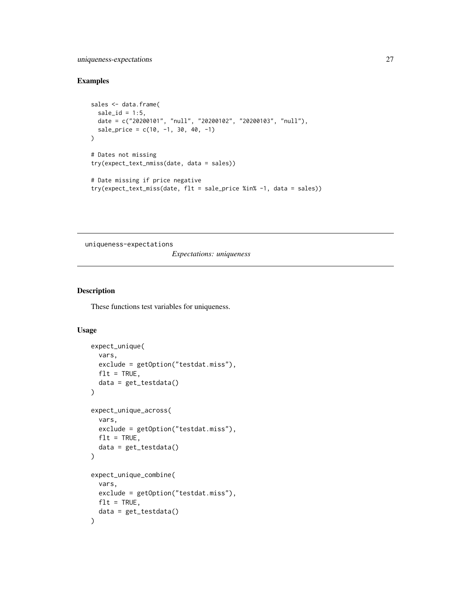## <span id="page-26-0"></span>uniqueness-expectations 27

## Examples

```
sales <- data.frame(
  \text{ sale_id} = 1:5,date = c("20200101", "null", "20200102", "20200103", "null"),
  sale_price = c(10, -1, 30, 40, -1))
# Dates not missing
try(expect_text_nmiss(date, data = sales))
# Date missing if price negative
try(expect_text_miss(date, flt = sale_price %in% -1, data = sales))
```
<span id="page-26-1"></span>uniqueness-expectations

*Expectations: uniqueness*

## Description

These functions test variables for uniqueness.

## Usage

```
expect_unique(
 vars,
  exclude = getOption("testdat.miss"),
 flt = TRUE,data = get_testdata()
\lambdaexpect_unique_across(
 vars,
 exclude = getOption("testdat.miss"),
 flt = TRUE,
  data = get_testdata()
)
expect_unique_combine(
  vars,
 exclude = getOption("testdat.miss"),
 flt = TRUE,data = get_testdata()
)
```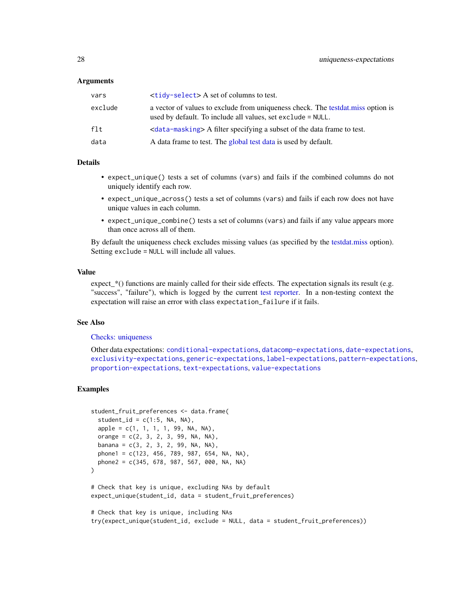#### <span id="page-27-0"></span>**Arguments**

| a vector of values to exclude from uniqueness check. The test dat miss option is<br>exclude<br>used by default. To include all values, set exclude = NULL. |  |
|------------------------------------------------------------------------------------------------------------------------------------------------------------|--|
| f1t.<br><data-masking> A filter specifying a subset of the data frame to test.</data-masking>                                                              |  |
| data<br>A data frame to test. The global test data is used by default.                                                                                     |  |

#### Details

- expect\_unique() tests a set of columns (vars) and fails if the combined columns do not uniquely identify each row.
- expect\_unique\_across() tests a set of columns (vars) and fails if each row does not have unique values in each column.
- expect\_unique\_combine() tests a set of columns (vars) and fails if any value appears more than once across all of them.

By default the uniqueness check excludes missing values (as specified by the [testdat.miss](#page-0-0) option). Setting exclude = NULL will include all values.

#### Value

expect\_\*() functions are mainly called for their side effects. The expectation signals its result (e.g. "success", "failure"), which is logged by the current [test reporter.](#page-0-0) In a non-testing context the expectation will raise an error with class expectation\_failure if it fails.

#### See Also

## [Checks: uniqueness](#page-8-1)

Other data expectations: [conditional-expectations](#page-10-1), [datacomp-expectations](#page-11-1), [date-expectations](#page-13-1), [exclusivity-expectations](#page-14-1), [generic-expectations](#page-16-1), [label-expectations](#page-19-1), [pattern-expectations](#page-21-1), [proportion-expectations](#page-22-1), [text-expectations](#page-25-1), [value-expectations](#page-28-1)

```
student_fruit_preferences <- data.frame(
 student_id = c(1:5, NA, NA),
 apple = c(1, 1, 1, 1, 99, NA, NA),orange = c(2, 3, 2, 3, 99, NA, NA),
 banana = c(3, 2, 3, 2, 99, NA, NA),
 phone1 = c(123, 456, 789, 987, 654, NA, NA),
 phone2 = c(345, 678, 987, 567, 000, NA, NA)
\mathcal{L}# Check that key is unique, excluding NAs by default
expect_unique(student_id, data = student_fruit_preferences)
# Check that key is unique, including NAs
try(expect_unique(student_id, exclude = NULL, data = student_fruit_preferences))
```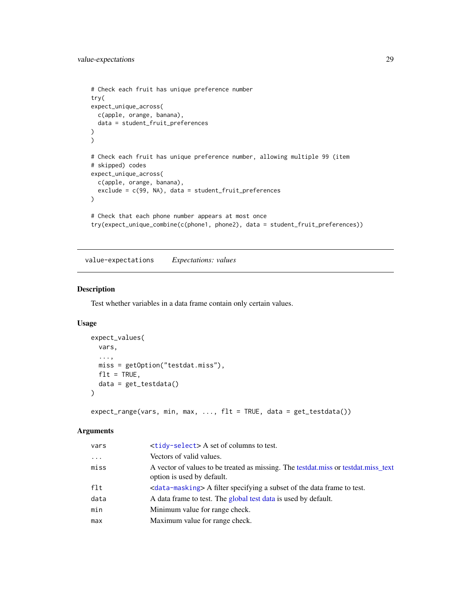```
# Check each fruit has unique preference number
try(
expect_unique_across(
 c(apple, orange, banana),
  data = student_fruit_preferences
)
\mathcal{L}# Check each fruit has unique preference number, allowing multiple 99 (item
# skipped) codes
expect_unique_across(
  c(apple, orange, banana),
  exclude = c(99, NA), data = student_fruit_preferences
)
# Check that each phone number appears at most once
try(expect_unique_combine(c(phone1, phone2), data = student_fruit_preferences))
```
<span id="page-28-1"></span>value-expectations *Expectations: values*

#### Description

Test whether variables in a data frame contain only certain values.

## Usage

```
expect_values(
 vars,
  ...,
 miss = getOption("testdat.miss"),
 flt = TRUE,data = get_testdata()
)
```
expect\_range(vars, min, max, ..., flt = TRUE, data = get\_testdata())

## Arguments

| vars     | $\langle \text{tidy-select} \rangle$ A set of columns to test.                                                   |
|----------|------------------------------------------------------------------------------------------------------------------|
| $\ddots$ | Vectors of valid values.                                                                                         |
| miss     | A vector of values to be treated as missing. The testdat.miss or testdat.miss_text<br>option is used by default. |
| flt      | <data-masking> A filter specifying a subset of the data frame to test.</data-masking>                            |
| data     | A data frame to test. The global test data is used by default.                                                   |
| min      | Minimum value for range check.                                                                                   |
| max      | Maximum value for range check.                                                                                   |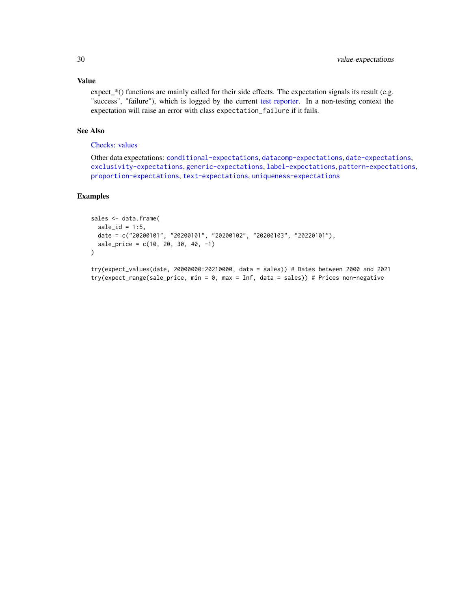## Value

expect\_\*() functions are mainly called for their side effects. The expectation signals its result (e.g. "success", "failure"), which is logged by the current [test reporter.](#page-0-0) In a non-testing context the expectation will raise an error with class expectation\_failure if it fails.

## See Also

## [Checks: values](#page-8-2)

Other data expectations: [conditional-expectations](#page-10-1), [datacomp-expectations](#page-11-1), [date-expectations](#page-13-1), [exclusivity-expectations](#page-14-1), [generic-expectations](#page-16-1), [label-expectations](#page-19-1), [pattern-expectations](#page-21-1), [proportion-expectations](#page-22-1), [text-expectations](#page-25-1), [uniqueness-expectations](#page-26-1)

#### Examples

```
sales <- data.frame(
  sale_id = 1:5,date = c("20200101", "20200101", "20200102", "20200103", "20220101"),
  sale_price = c(10, 20, 30, 40, -1)
\lambdatry(expect_values(date, 20000000:20210000, data = sales)) # Dates between 2000 and 2021
```
try(expect\_range(sale\_price, min = 0, max = Inf, data = sales)) # Prices non-negative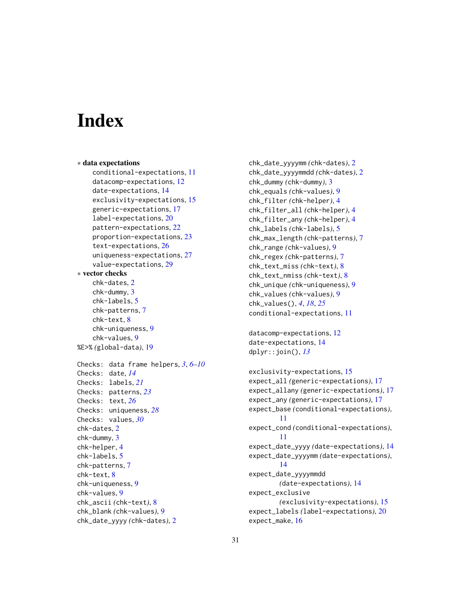# <span id="page-30-0"></span>**Index**

```
∗ data expectations
    conditional-expectations, 11
    datacomp-expectations, 12
    date-expectations, 14
    exclusivity-expectations, 15
    generic-expectations, 17
    label-expectations, 20
    pattern-expectations, 22
    proportion-expectations, 23
    text-expectations, 26
    uniqueness-expectations, 27
    value-expectations, 29
∗ vector checks
    chk-dates, 2
    chk-dummy, 3
    chk-labels, 5
    chk-patterns, 7
    chk-text, 8
    chk-uniqueness, 9
    chk-values, 9
%E>% (global-data), 19
Checks: data frame helpers, 3, 6–10
Checks: date, 14
Checks: labels, 21
Checks: patterns, 23
Checks: text, 26
Checks: uniqueness, 28
Checks: values, 30
chk-dates, 2
chk-dummy, 3
chk-helper, 4
chk-labels, 5
chk-patterns, 7
chk-text, 8
chk-uniqueness, 9
chk-values, 9
chk_ascii (chk-text), 8
chk_blank (chk-values), 9
chk_date_yyyy (chk-dates), 2
```

```
chk_date_yyyymm (chk-dates), 2
chk_date_yyyymmdd (chk-dates), 2
chk_dummy (chk-dummy), 3
chk_equals (chk-values), 9
chk_filter (chk-helper), 4
chk_filter_all (chk-helper), 4
chk_filter_any (chk-helper), 4
chk_labels (chk-labels), 5
chk_max_length (chk-patterns), 7
chk_range (chk-values), 9
chk_regex (chk-patterns), 7
chk_text_miss (chk-text), 8
chk_text_nmiss (chk-text), 8
chk_unique (chk-uniqueness), 9
chk_values (chk-values), 9
chk_values(), 4, 18, 25
conditional-expectations, 11
```

```
datacomp-expectations, 12
date-expectations, 14
dplyr::join(), 13
```

```
exclusivity-expectations, 15
expect_all (generic-expectations), 17
expect_allany (generic-expectations), 17
expect_any (generic-expectations), 17
expect_base (conditional-expectations),
        11
expect_cond (conditional-expectations),
        11
expect_date_yyyy (date-expectations), 14
expect_date_yyyymm (date-expectations),
        14
expect_date_yyyymmdd
        (date-expectations), 14
expect_exclusive
        (exclusivity-expectations), 15
expect_labels (label-expectations), 20
expect_make, 16
```